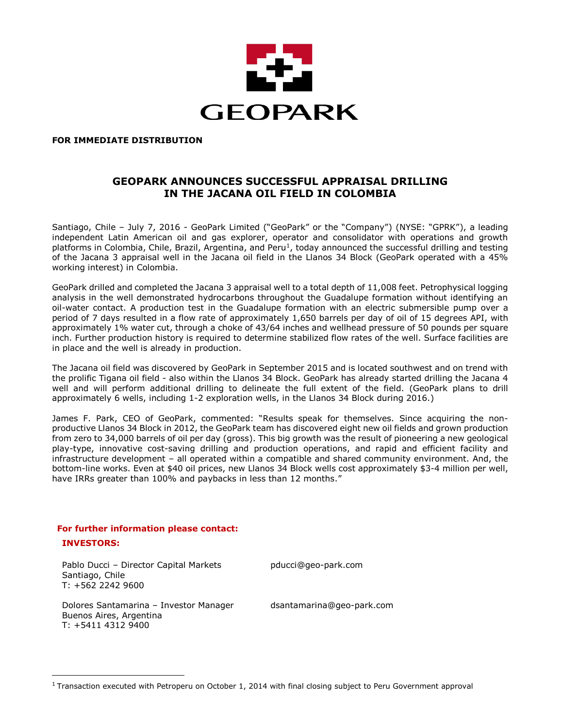

#### **FOR IMMEDIATE DISTRIBUTION**

## **GEOPARK ANNOUNCES SUCCESSFUL APPRAISAL DRILLING IN THE JACANA OIL FIELD IN COLOMBIA**

Santiago, Chile – July 7, 2016 - GeoPark Limited ("GeoPark" or the "Company") (NYSE: "GPRK"), a leading independent Latin American oil and gas explorer, operator and consolidator with operations and growth platforms in Colombia, Chile, Brazil, Argentina, and Peru<sup>1</sup>, today announced the successful drilling and testing of the Jacana 3 appraisal well in the Jacana oil field in the Llanos 34 Block (GeoPark operated with a 45% working interest) in Colombia.

GeoPark drilled and completed the Jacana 3 appraisal well to a total depth of 11,008 feet. Petrophysical logging analysis in the well demonstrated hydrocarbons throughout the Guadalupe formation without identifying an oil-water contact. A production test in the Guadalupe formation with an electric submersible pump over a period of 7 days resulted in a flow rate of approximately 1,650 barrels per day of oil of 15 degrees API, with approximately 1% water cut, through a choke of 43/64 inches and wellhead pressure of 50 pounds per square inch. Further production history is required to determine stabilized flow rates of the well. Surface facilities are in place and the well is already in production.

The Jacana oil field was discovered by GeoPark in September 2015 and is located southwest and on trend with the prolific Tigana oil field - also within the Llanos 34 Block. GeoPark has already started drilling the Jacana 4 well and will perform additional drilling to delineate the full extent of the field. (GeoPark plans to drill approximately 6 wells, including 1-2 exploration wells, in the Llanos 34 Block during 2016.)

James F. Park, CEO of GeoPark, commented: "Results speak for themselves. Since acquiring the nonproductive Llanos 34 Block in 2012, the GeoPark team has discovered eight new oil fields and grown production from zero to 34,000 barrels of oil per day (gross). This big growth was the result of pioneering a new geological play-type, innovative cost-saving drilling and production operations, and rapid and efficient facility and infrastructure development – all operated within a compatible and shared community environment. And, the bottom-line works. Even at \$40 oil prices, new Llanos 34 Block wells cost approximately \$3-4 million per well, have IRRs greater than 100% and paybacks in less than 12 months."

# **For further information please contact:**

#### **INVESTORS:**

 $\overline{a}$ 

Pablo Ducci – Director Capital Markets pducci@geo-park.com Santiago, Chile T: +562 2242 9600

Dolores Santamarina – Investor Manager Buenos Aires, Argentina T: +5411 4312 9400

dsantamarina@geo-park.com

 $1$  Transaction executed with Petroperu on October 1, 2014 with final closing subject to Peru Government approval